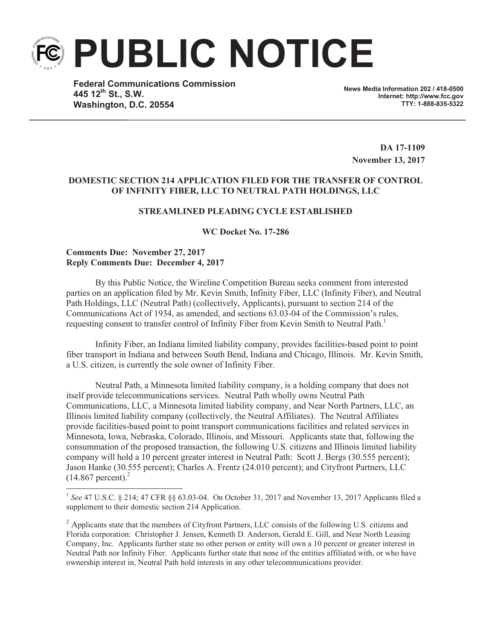**PUBLIC NOTICE**

**Federal Communications Commission 445 12th St., S.W. Washington, D.C. 20554**

**News Media Information 202 / 418-0500 Internet: http://www.fcc.gov TTY: 1-888-835-5322**

**DA 17-1109 November 13, 2017**

## **DOMESTIC SECTION 214 APPLICATION FILED FOR THE TRANSFER OF CONTROL OF INFINITY FIBER, LLC TO NEUTRAL PATH HOLDINGS, LLC**

# **STREAMLINED PLEADING CYCLE ESTABLISHED**

**WC Docket No. 17-286**

#### **Comments Due: November 27, 2017 Reply Comments Due: December 4, 2017**

By this Public Notice, the Wireline Competition Bureau seeks comment from interested parties on an application filed by Mr. Kevin Smith, Infinity Fiber, LLC (Infinity Fiber), and Neutral Path Holdings, LLC (Neutral Path) (collectively, Applicants), pursuant to section 214 of the Communications Act of 1934, as amended, and sections 63.03-04 of the Commission's rules, requesting consent to transfer control of Infinity Fiber from Kevin Smith to Neutral Path.<sup>1</sup>

Infinity Fiber, an Indiana limited liability company, provides facilities-based point to point fiber transport in Indiana and between South Bend, Indiana and Chicago, Illinois. Mr. Kevin Smith, a U.S. citizen, is currently the sole owner of Infinity Fiber.

Neutral Path, a Minnesota limited liability company, is a holding company that does not itself provide telecommunications services. Neutral Path wholly owns Neutral Path Communications, LLC, a Minnesota limited liability company, and Near North Partners, LLC, an Illinois limited liability company (collectively, the Neutral Affiliates). The Neutral Affiliates provide facilities-based point to point transport communications facilities and related services in Minnesota, Iowa, Nebraska, Colorado, Illinois, and Missouri. Applicants state that, following the consummation of the proposed transaction, the following U.S. citizens and Illinois limited liability company will hold a 10 percent greater interest in Neutral Path: Scott J. Bergs (30.555 percent); Jason Hanke (30.555 percent); Charles A. Frentz (24.010 percent); and Cityfront Partners, LLC  $(14.867)$  percent).<sup>2</sup>

<sup>&</sup>lt;sup>1</sup> See 47 U.S.C. § 214; 47 CFR §§ 63.03-04. On October 31, 2017 and November 13, 2017 Applicants filed a supplement to their domestic section 214 Application.

 $^2$  Applicants state that the members of Cityfront Partners, LLC consists of the following U.S. citizens and Florida corporation: Christopher J. Jensen, Kenneth D. Anderson, Gerald E. Gill, and Near North Leasing Company, Inc. Applicants further state no other person or entity will own a 10 percent or greater interest in Neutral Path nor Infinity Fiber. Applicants further state that none of the entities affiliated with, or who have ownership interest in, Neutral Path hold interests in any other telecommunications provider.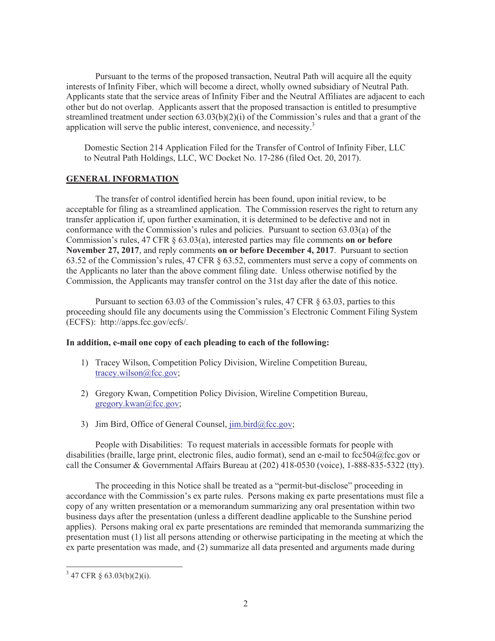Pursuant to the terms of the proposed transaction, Neutral Path will acquire all the equity interests of Infinity Fiber, which will become a direct, wholly owned subsidiary of Neutral Path. Applicants state that the service areas of Infinity Fiber and the Neutral Affiliates are adjacent to each other but do not overlap. Applicants assert that the proposed transaction is entitled to presumptive streamlined treatment under section  $63.03(b)(2)(i)$  of the Commission's rules and that a grant of the application will serve the public interest, convenience, and necessity. $3$ 

Domestic Section 214 Application Filed for the Transfer of Control of Infinity Fiber, LLC to Neutral Path Holdings, LLC, WC Docket No. 17-286 (filed Oct. 20, 2017).

# **GENERAL INFORMATION**

The transfer of control identified herein has been found, upon initial review, to be acceptable for filing as a streamlined application. The Commission reserves the right to return any transfer application if, upon further examination, it is determined to be defective and not in conformance with the Commission's rules and policies. Pursuant to section 63.03(a) of the Commission's rules, 47 CFR § 63.03(a), interested parties may file comments **on or before November 27, 2017**, and reply comments **on or before December 4, 2017**. Pursuant to section 63.52 of the Commission's rules, 47 CFR § 63.52, commenters must serve a copy of comments on the Applicants no later than the above comment filing date. Unless otherwise notified by the Commission, the Applicants may transfer control on the 31st day after the date of this notice.

Pursuant to section 63.03 of the Commission's rules, 47 CFR § 63.03, parties to this proceeding should file any documents using the Commission's Electronic Comment Filing System (ECFS): http://apps.fcc.gov/ecfs/.

# **In addition, e-mail one copy of each pleading to each of the following:**

- 1) Tracey Wilson, Competition Policy Division, Wireline Competition Bureau, tracey.wilson@fcc.gov;
- 2) Gregory Kwan, Competition Policy Division, Wireline Competition Bureau, gregory.kwan@fcc.gov;
- 3) Jim Bird, Office of General Counsel, jim.bird@fcc.gov;

People with Disabilities: To request materials in accessible formats for people with disabilities (braille, large print, electronic files, audio format), send an e-mail to fcc504@fcc.gov or call the Consumer & Governmental Affairs Bureau at (202) 418-0530 (voice), 1-888-835-5322 (tty).

The proceeding in this Notice shall be treated as a "permit-but-disclose" proceeding in accordance with the Commission's ex parte rules. Persons making ex parte presentations must file a copy of any written presentation or a memorandum summarizing any oral presentation within two business days after the presentation (unless a different deadline applicable to the Sunshine period applies). Persons making oral ex parte presentations are reminded that memoranda summarizing the presentation must (1) list all persons attending or otherwise participating in the meeting at which the ex parte presentation was made, and (2) summarize all data presented and arguments made during

 $3\,$  47 CFR § 63.03(b)(2)(i).